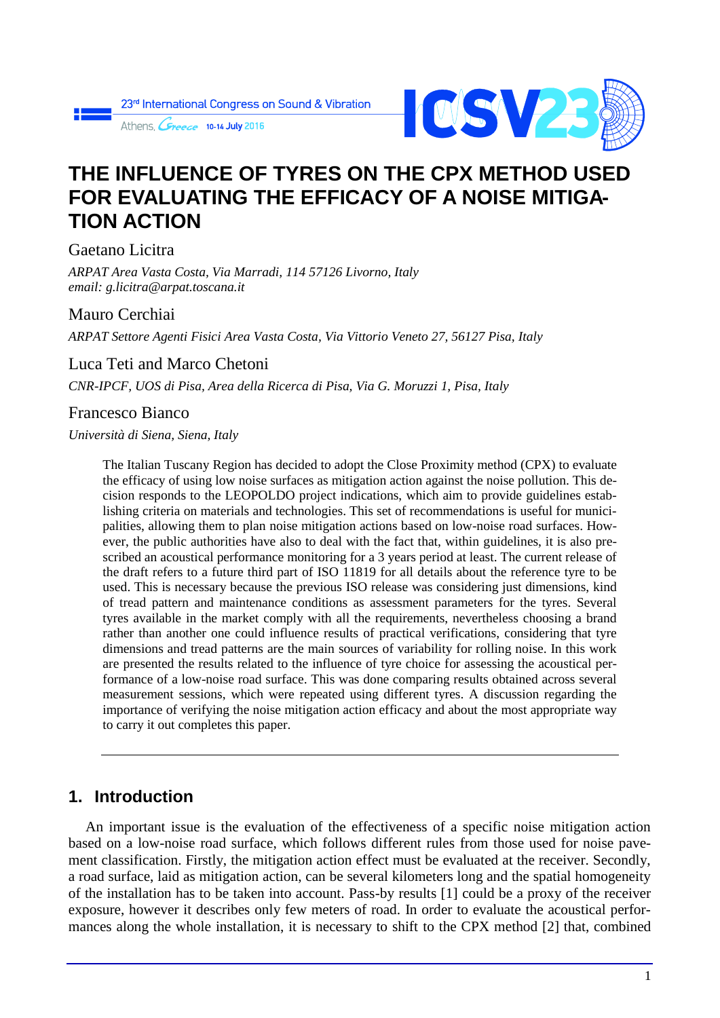Athens Cine 10-14 July 2016



# **THE INFLUENCE OF TYRES ON THE CPX METHOD USED FOR EVALUATING THE EFFICACY OF A NOISE MITIGA-TION ACTION**

Gaetano Licitra

*ARPAT Area Vasta Costa, Via Marradi, 114 57126 Livorno, Italy email: g.licitra@arpat.toscana.it*

#### Mauro Cerchiai

*ARPAT Settore Agenti Fisici Area Vasta Costa, Via Vittorio Veneto 27, 56127 Pisa, Italy*

### Luca Teti and Marco Chetoni

*CNR-IPCF, UOS di Pisa, Area della Ricerca di Pisa, Via G. Moruzzi 1, Pisa, Italy*

### Francesco Bianco

*Università di Siena, Siena, Italy*

The Italian Tuscany Region has decided to adopt the Close Proximity method (CPX) to evaluate the efficacy of using low noise surfaces as mitigation action against the noise pollution. This decision responds to the LEOPOLDO project indications, which aim to provide guidelines establishing criteria on materials and technologies. This set of recommendations is useful for municipalities, allowing them to plan noise mitigation actions based on low-noise road surfaces. However, the public authorities have also to deal with the fact that, within guidelines, it is also prescribed an acoustical performance monitoring for a 3 years period at least. The current release of the draft refers to a future third part of ISO 11819 for all details about the reference tyre to be used. This is necessary because the previous ISO release was considering just dimensions, kind of tread pattern and maintenance conditions as assessment parameters for the tyres. Several tyres available in the market comply with all the requirements, nevertheless choosing a brand rather than another one could influence results of practical verifications, considering that tyre dimensions and tread patterns are the main sources of variability for rolling noise. In this work are presented the results related to the influence of tyre choice for assessing the acoustical performance of a low-noise road surface. This was done comparing results obtained across several measurement sessions, which were repeated using different tyres. A discussion regarding the importance of verifying the noise mitigation action efficacy and about the most appropriate way to carry it out completes this paper.

## **1. Introduction**

An important issue is the evaluation of the effectiveness of a specific noise mitigation action based on a low-noise road surface, which follows different rules from those used for noise pavement classification. Firstly, the mitigation action effect must be evaluated at the receiver. Secondly, a road surface, laid as mitigation action, can be several kilometers long and the spatial homogeneity of the installation has to be taken into account. Pass-by results [1] could be a proxy of the receiver exposure, however it describes only few meters of road. In order to evaluate the acoustical performances along the whole installation, it is necessary to shift to the CPX method [2] that, combined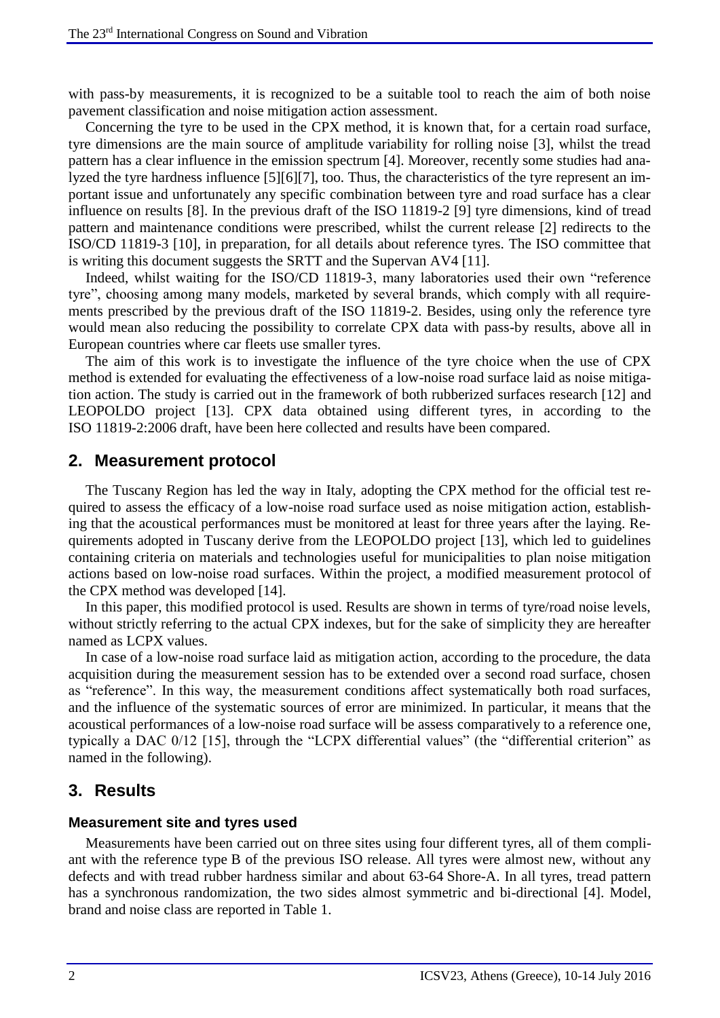with pass-by measurements, it is recognized to be a suitable tool to reach the aim of both noise pavement classification and noise mitigation action assessment.

Concerning the tyre to be used in the CPX method, it is known that, for a certain road surface, tyre dimensions are the main source of amplitude variability for rolling noise [3], whilst the tread pattern has a clear influence in the emission spectrum [4]. Moreover, recently some studies had analyzed the tyre hardness influence [5][6][7], too. Thus, the characteristics of the tyre represent an important issue and unfortunately any specific combination between tyre and road surface has a clear influence on results [8]. In the previous draft of the ISO 11819-2 [9] tyre dimensions, kind of tread pattern and maintenance conditions were prescribed, whilst the current release [2] redirects to the ISO/CD 11819-3 [10], in preparation, for all details about reference tyres. The ISO committee that is writing this document suggests the SRTT and the Supervan AV4 [11].

Indeed, whilst waiting for the ISO/CD 11819-3, many laboratories used their own "reference tyre", choosing among many models, marketed by several brands, which comply with all requirements prescribed by the previous draft of the ISO 11819-2. Besides, using only the reference tyre would mean also reducing the possibility to correlate CPX data with pass-by results, above all in European countries where car fleets use smaller tyres.

The aim of this work is to investigate the influence of the tyre choice when the use of CPX method is extended for evaluating the effectiveness of a low-noise road surface laid as noise mitigation action. The study is carried out in the framework of both rubberized surfaces research [12] and LEOPOLDO project [13]. CPX data obtained using different tyres, in according to the ISO 11819-2:2006 draft, have been here collected and results have been compared.

#### **2. Measurement protocol**

The Tuscany Region has led the way in Italy, adopting the CPX method for the official test required to assess the efficacy of a low-noise road surface used as noise mitigation action, establishing that the acoustical performances must be monitored at least for three years after the laying. Requirements adopted in Tuscany derive from the LEOPOLDO project [13], which led to guidelines containing criteria on materials and technologies useful for municipalities to plan noise mitigation actions based on low-noise road surfaces. Within the project, a modified measurement protocol of the CPX method was developed [14].

In this paper, this modified protocol is used. Results are shown in terms of tyre/road noise levels, without strictly referring to the actual CPX indexes, but for the sake of simplicity they are hereafter named as LCPX values.

In case of a low-noise road surface laid as mitigation action, according to the procedure, the data acquisition during the measurement session has to be extended over a second road surface, chosen as "reference". In this way, the measurement conditions affect systematically both road surfaces, and the influence of the systematic sources of error are minimized. In particular, it means that the acoustical performances of a low-noise road surface will be assess comparatively to a reference one, typically a DAC 0/12 [15], through the "LCPX differential values" (the "differential criterion" as named in the following).

#### **3. Results**

#### **Measurement site and tyres used**

Measurements have been carried out on three sites using four different tyres, all of them compliant with the reference type B of the previous ISO release. All tyres were almost new, without any defects and with tread rubber hardness similar and about 63-64 Shore-A. In all tyres, tread pattern has a synchronous randomization, the two sides almost symmetric and bi-directional [4]. Model, brand and noise class are reported in Table 1.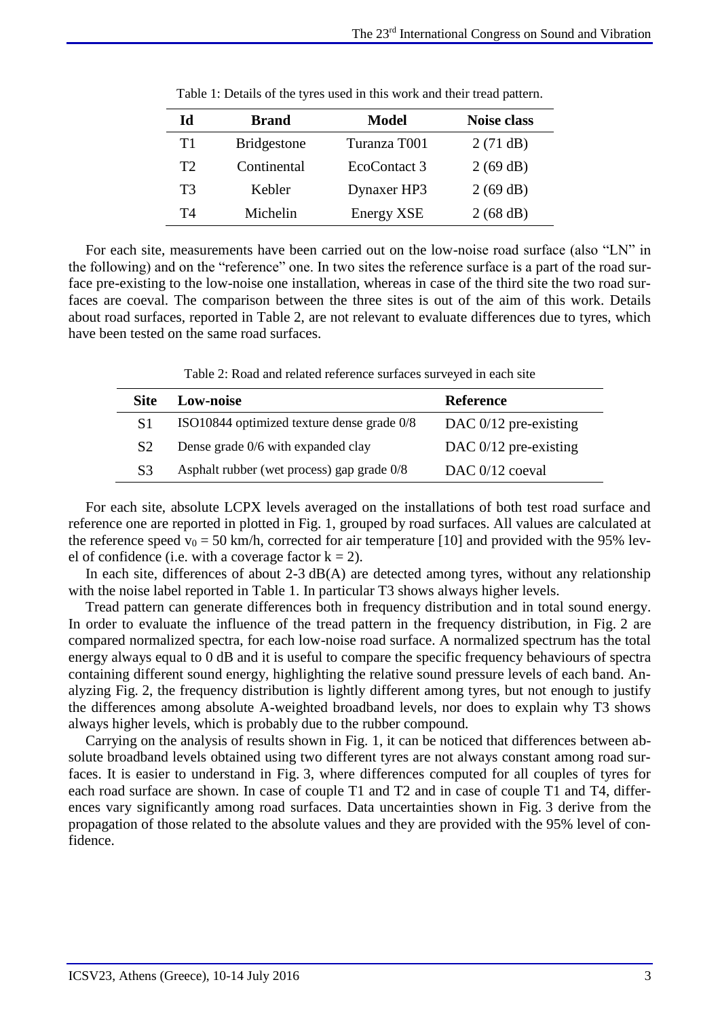| Id | <b>Brand</b>       | <b>Model</b>      | <b>Noise class</b> |
|----|--------------------|-------------------|--------------------|
| T1 | <b>Bridgestone</b> | Turanza T001      | 2(71 dB)           |
| T2 | Continental        | EcoContact 3      | 2(69 dB)           |
| T3 | Kebler             | Dynaxer HP3       | 2(69 dB)           |
| T4 | Michelin           | <b>Energy XSE</b> | 2(68 dB)           |

|  | Table 1: Details of the tyres used in this work and their tread pattern. |  |
|--|--------------------------------------------------------------------------|--|
|--|--------------------------------------------------------------------------|--|

For each site, measurements have been carried out on the low-noise road surface (also "LN" in the following) and on the "reference" one. In two sites the reference surface is a part of the road surface pre-existing to the low-noise one installation, whereas in case of the third site the two road surfaces are coeval. The comparison between the three sites is out of the aim of this work. Details about road surfaces, reported in Table 2, are not relevant to evaluate differences due to tyres, which have been tested on the same road surfaces.

Table 2: Road and related reference surfaces surveyed in each site

| Site           | <b>Low-noise</b>                           | <b>Reference</b>        |
|----------------|--------------------------------------------|-------------------------|
| S1             | ISO10844 optimized texture dense grade 0/8 | DAC $0/12$ pre-existing |
| S <sub>2</sub> | Dense grade 0/6 with expanded clay         | DAC $0/12$ pre-existing |
| S <sup>3</sup> | Asphalt rubber (wet process) gap grade 0/8 | DAC 0/12 coeval         |

For each site, absolute LCPX levels averaged on the installations of both test road surface and reference one are reported in plotted in Fig. 1, grouped by road surfaces. All values are calculated at the reference speed  $v_0 = 50$  km/h, corrected for air temperature [10] and provided with the 95% level of confidence (i.e. with a coverage factor  $k = 2$ ).

In each site, differences of about 2-3 dB(A) are detected among tyres, without any relationship with the noise label reported in Table 1. In particular T3 shows always higher levels.

Tread pattern can generate differences both in frequency distribution and in total sound energy. In order to evaluate the influence of the tread pattern in the frequency distribution, in Fig. 2 are compared normalized spectra, for each low-noise road surface. A normalized spectrum has the total energy always equal to 0 dB and it is useful to compare the specific frequency behaviours of spectra containing different sound energy, highlighting the relative sound pressure levels of each band. Analyzing Fig. 2, the frequency distribution is lightly different among tyres, but not enough to justify the differences among absolute A-weighted broadband levels, nor does to explain why T3 shows always higher levels, which is probably due to the rubber compound.

Carrying on the analysis of results shown in Fig. 1, it can be noticed that differences between absolute broadband levels obtained using two different tyres are not always constant among road surfaces. It is easier to understand in Fig. 3, where differences computed for all couples of tyres for each road surface are shown. In case of couple T1 and T2 and in case of couple T1 and T4, differences vary significantly among road surfaces. Data uncertainties shown in Fig. 3 derive from the propagation of those related to the absolute values and they are provided with the 95% level of confidence.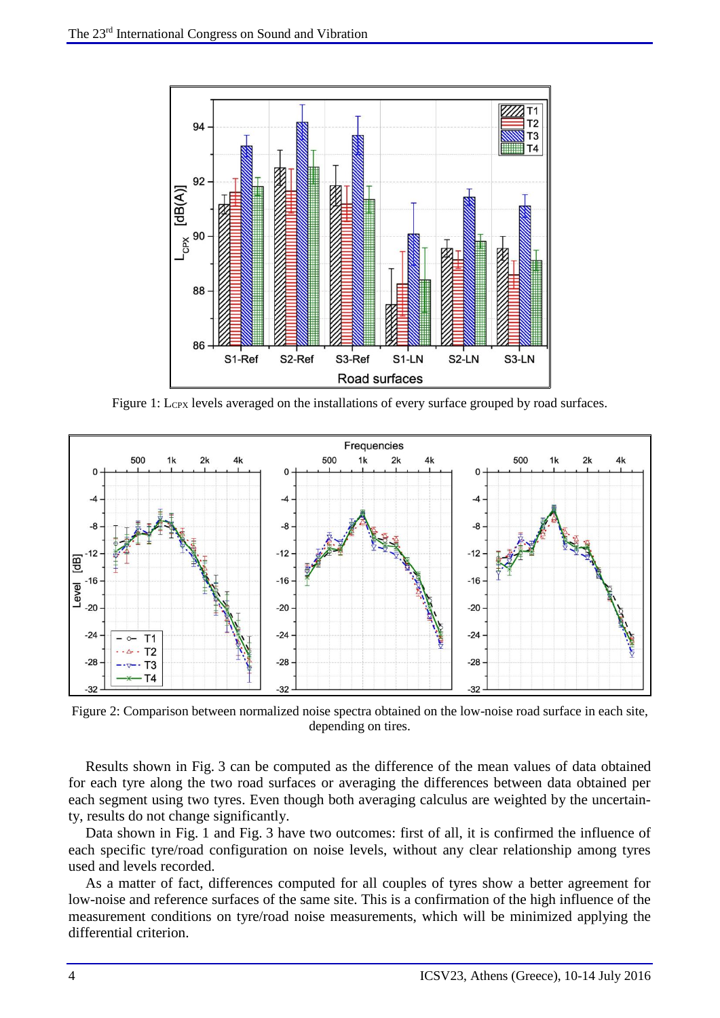

Figure 1: L<sub>CPX</sub> levels averaged on the installations of every surface grouped by road surfaces.



Figure 2: Comparison between normalized noise spectra obtained on the low-noise road surface in each site, depending on tires.

Results shown in Fig. 3 can be computed as the difference of the mean values of data obtained for each tyre along the two road surfaces or averaging the differences between data obtained per each segment using two tyres. Even though both averaging calculus are weighted by the uncertainty, results do not change significantly.

Data shown in Fig. 1 and Fig. 3 have two outcomes: first of all, it is confirmed the influence of each specific tyre/road configuration on noise levels, without any clear relationship among tyres used and levels recorded.

As a matter of fact, differences computed for all couples of tyres show a better agreement for low-noise and reference surfaces of the same site. This is a confirmation of the high influence of the measurement conditions on tyre/road noise measurements, which will be minimized applying the differential criterion.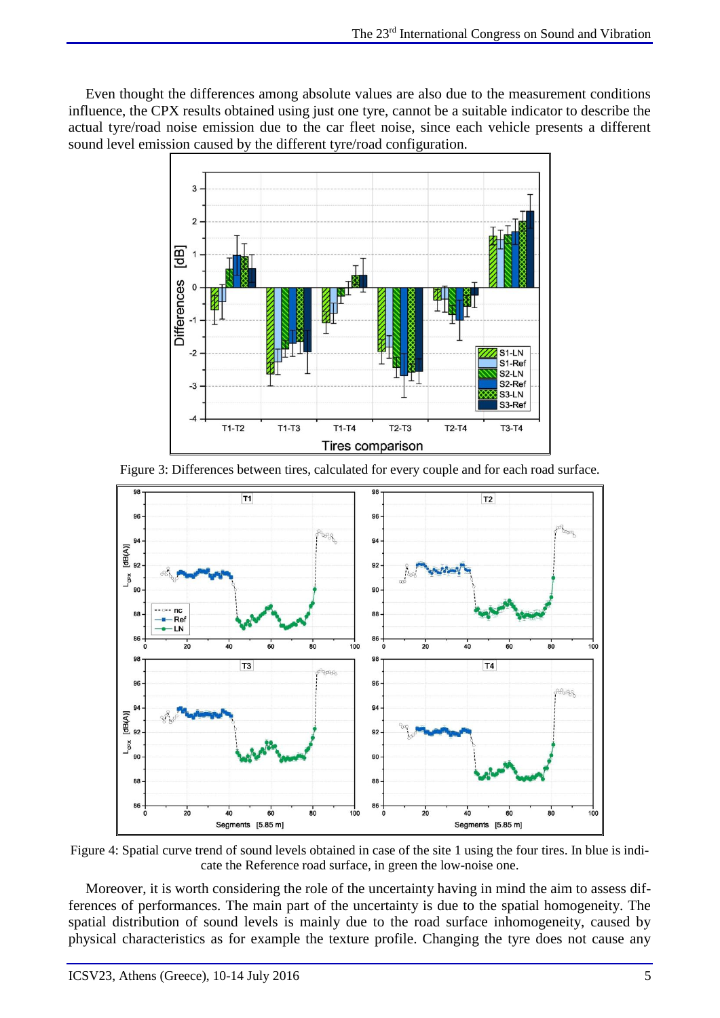Even thought the differences among absolute values are also due to the measurement conditions influence, the CPX results obtained using just one tyre, cannot be a suitable indicator to describe the actual tyre/road noise emission due to the car fleet noise, since each vehicle presents a different sound level emission caused by the different tyre/road configuration.



Figure 3: Differences between tires, calculated for every couple and for each road surface.



Figure 4: Spatial curve trend of sound levels obtained in case of the site 1 using the four tires. In blue is indicate the Reference road surface, in green the low-noise one.

Moreover, it is worth considering the role of the uncertainty having in mind the aim to assess differences of performances. The main part of the uncertainty is due to the spatial homogeneity. The spatial distribution of sound levels is mainly due to the road surface inhomogeneity, caused by physical characteristics as for example the texture profile. Changing the tyre does not cause any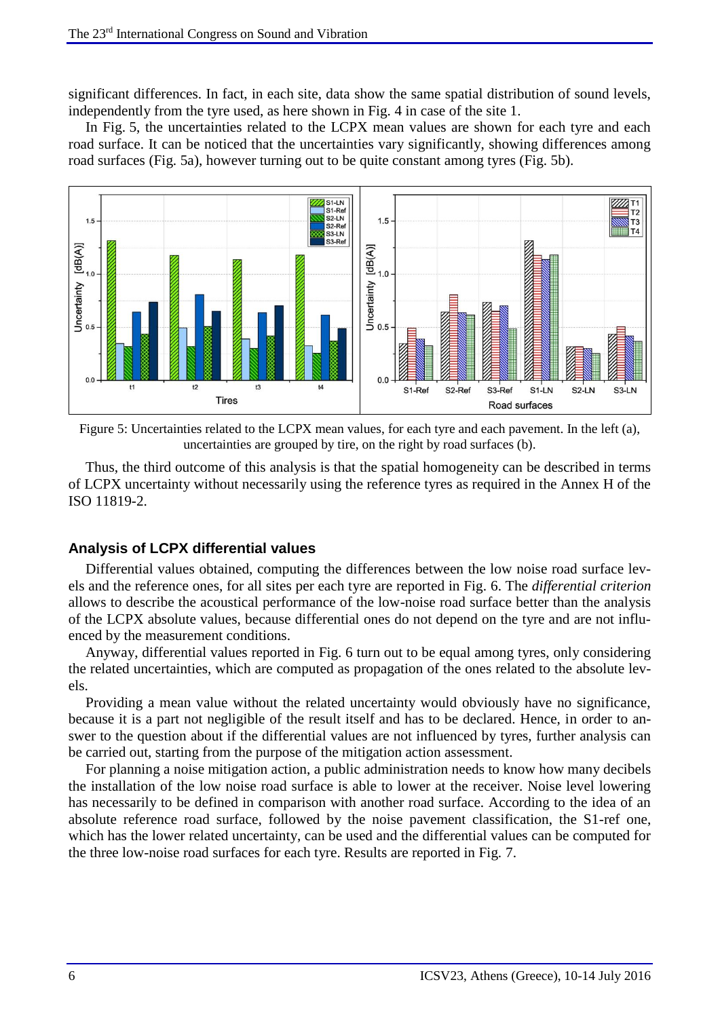significant differences. In fact, in each site, data show the same spatial distribution of sound levels, independently from the tyre used, as here shown in Fig. 4 in case of the site 1.

In Fig. 5, the uncertainties related to the LCPX mean values are shown for each tyre and each road surface. It can be noticed that the uncertainties vary significantly, showing differences among road surfaces (Fig. 5a), however turning out to be quite constant among tyres (Fig. 5b).



Figure 5: Uncertainties related to the LCPX mean values, for each tyre and each pavement. In the left (a), uncertainties are grouped by tire, on the right by road surfaces (b).

Thus, the third outcome of this analysis is that the spatial homogeneity can be described in terms of LCPX uncertainty without necessarily using the reference tyres as required in the Annex H of the ISO 11819-2.

#### **Analysis of LCPX differential values**

Differential values obtained, computing the differences between the low noise road surface levels and the reference ones, for all sites per each tyre are reported in Fig. 6. The *differential criterion* allows to describe the acoustical performance of the low-noise road surface better than the analysis of the LCPX absolute values, because differential ones do not depend on the tyre and are not influenced by the measurement conditions.

Anyway, differential values reported in Fig. 6 turn out to be equal among tyres, only considering the related uncertainties, which are computed as propagation of the ones related to the absolute levels.

Providing a mean value without the related uncertainty would obviously have no significance, because it is a part not negligible of the result itself and has to be declared. Hence, in order to answer to the question about if the differential values are not influenced by tyres, further analysis can be carried out, starting from the purpose of the mitigation action assessment.

For planning a noise mitigation action, a public administration needs to know how many decibels the installation of the low noise road surface is able to lower at the receiver. Noise level lowering has necessarily to be defined in comparison with another road surface. According to the idea of an absolute reference road surface, followed by the noise pavement classification, the S1-ref one, which has the lower related uncertainty, can be used and the differential values can be computed for the three low-noise road surfaces for each tyre. Results are reported in Fig. 7.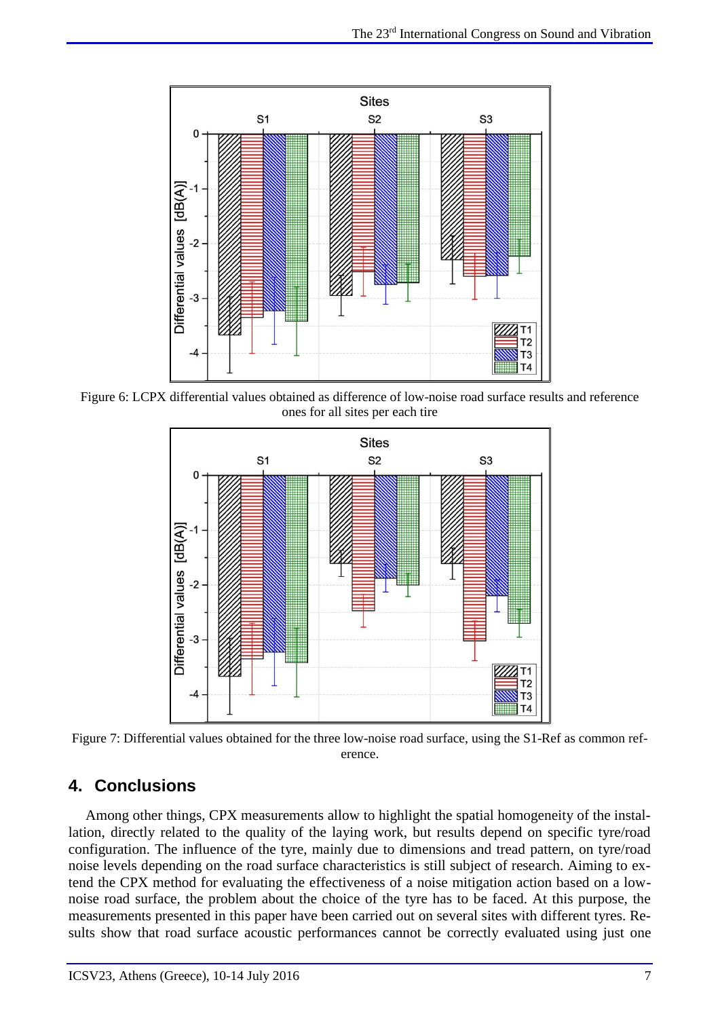

Figure 6: LCPX differential values obtained as difference of low-noise road surface results and reference ones for all sites per each tire



Figure 7: Differential values obtained for the three low-noise road surface, using the S1-Ref as common reference.

## **4. Conclusions**

Among other things, CPX measurements allow to highlight the spatial homogeneity of the installation, directly related to the quality of the laying work, but results depend on specific tyre/road configuration. The influence of the tyre, mainly due to dimensions and tread pattern, on tyre/road noise levels depending on the road surface characteristics is still subject of research. Aiming to extend the CPX method for evaluating the effectiveness of a noise mitigation action based on a lownoise road surface, the problem about the choice of the tyre has to be faced. At this purpose, the measurements presented in this paper have been carried out on several sites with different tyres. Results show that road surface acoustic performances cannot be correctly evaluated using just one